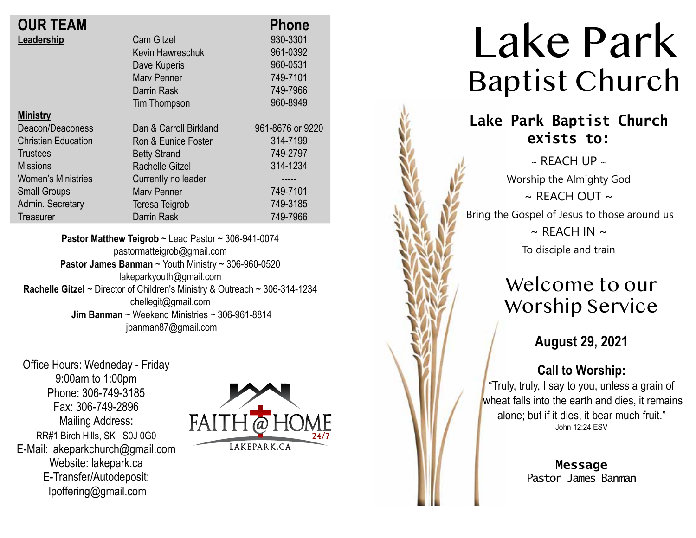| <b>OUR TEAM</b>            |                        | <b>Phone</b>     |
|----------------------------|------------------------|------------------|
| Leadership                 | <b>Cam Gitzel</b>      | 930-3301         |
|                            | Kevin Hawreschuk       | 961-0392         |
|                            | Dave Kuperis           | 960-0531         |
|                            | <b>Mary Penner</b>     | 749-7101         |
|                            | Darrin Rask            | 749-7966         |
|                            | Tim Thompson           | 960-8949         |
| <b>Ministry</b>            |                        |                  |
| Deacon/Deaconess           | Dan & Carroll Birkland | 961-8676 or 9220 |
| <b>Christian Education</b> | Ron & Eunice Foster    | 314-7199         |
| Trustees                   | <b>Betty Strand</b>    | 749-2797         |
| <b>Missions</b>            | Rachelle Gitzel        | 314-1234         |
| <b>Women's Ministries</b>  | Currently no leader    | -----            |
| <b>Small Groups</b>        | <b>Mary Penner</b>     | 749-7101         |
| Admin. Secretary           | Teresa Teigrob         | 749-3185         |
| Treasurer                  | <b>Darrin Rask</b>     | 749-7966         |
|                            |                        |                  |

**Pastor Matthew Teigrob** ~ Lead Pastor ~ 306-941-0074 pastormatteigrob@gmail.com **Pastor James Banman** ~ Youth Ministry ~ 306-960-0520 lakeparkyouth@gmail.com **Rachelle Gitzel** ~ Director of Children's Ministry & Outreach ~ 306-314-1234 chellegit@gmail.com  **Jim Banman** ~ Weekend Ministries ~ 306-961-8814 jbanman87@gmail.com

Office Hours: Wedneday - Friday 9:00am to 1:00pm Phone: 306-749-3185 Fax: 306-749-2896 Mailing Address: RR#1 Birch Hills, SK S0J 0G0 E-Mail: lakeparkchurch@gmail.com Website: lakepark.ca E-Transfer/Autodeposit: lpoffering@gmail.com



# Lake Park Baptist Church

### **Lake Park Baptist Church exists to:**

 $\sim$  REACH UP  $\sim$ Worship the Almighty God  $\sim$  RFACH OUT  $\sim$ Bring the Gospel of Jesus to those around us  $\sim$  REACH IN  $\sim$ To disciple and train

### Welcome to our Worship Service

**August 29, 2021**

#### **Call to Worship:**

"Truly, truly, I say to you, unless a grain of wheat falls into the earth and dies, it remains alone; but if it dies, it bear much fruit." John 12:24 ESV

> **Message** Pastor James Banman